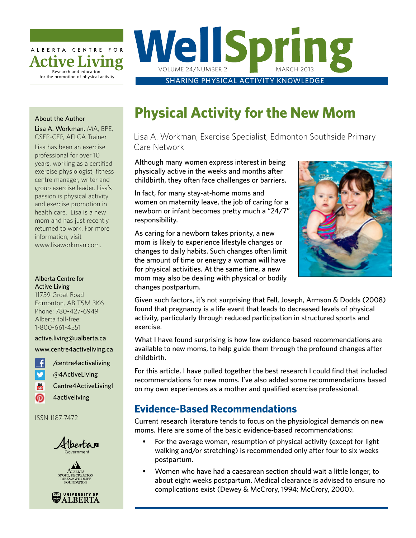

# WellSprin VOLUME 24/NUMBER 2

SHARING PHYSICAL ACTIVITY KNOWLEDGE

#### About the Author

Lisa A. Workman, MA, BPE, CSEP-CEP, AFLCA Trainer

Lisa has been an exercise professional for over 10 years, working as a certified exercise physiologist, fitness centre manager, writer and group exercise leader. Lisa's passion is physical activity and exercise promotion in health care. Lisa is a new mom and has just recently returned to work. For more information, visit [www.lisaworkman.com.](http://www.lisaworkman.com)

#### Alberta Centre for Active Living

11759 Groat Road Edmonton, AB T5M 3K6 Phone: 780-427-6949 Alberta toll-free: 1-800-661-4551

[active.living@ualberta.ca](mailto:active.living%40ualberta.ca%0D?subject=) [www.centre4activeliving.ca](http://www.centre4activeliving.ca
)

-6 [/centre4activeliving](http://www.facebook.com/centre4activeliving) V [@4ActiveLiving](https://twitter.com/4ActiveLiving)  $\frac{You}{c}$ 

- [Centre4ActiveLiving1](http://www.youtube.com/user/Centre4ActiveLiving1)
- ത [4activeliving](http://pinterest.com/4activeliving/)

ISSN 1187-7472







## **Physical Activity for the New Mom**

Lisa A. Workman, Exercise Specialist, Edmonton Southside Primary Care Network

Although many women express interest in being physically active in the weeks and months after childbirth, they often face challenges or barriers.

In fact, for many stay-at-home moms and women on maternity leave, the job of caring for a newborn or infant becomes pretty much a "24/7" responsibility.

As caring for a newborn takes priority, a new mom is likely to experience lifestyle changes or changes to daily habits. Such changes often limit the amount of time or energy a woman will have for physical activities. At the same time, a new mom may also be dealing with physical or bodily changes postpartum.



Given such factors, it's not surprising that Fell, Joseph, Armson & Dodds (2008) found that pregnancy is a life event that leads to decreased levels of physical activity, particularly through reduced participation in structured sports and exercise.

What I have found surprising is how few evidence-based recommendations are available to new moms, to help guide them through the profound changes after childbirth.

For this article, I have pulled together the best research I could find that included recommendations for new moms. I've also added some recommendations based on my own experiences as a mother and qualified exercise professional.

## **Evidence-Based Recommendations**

Current research literature tends to focus on the physiological demands on new moms. Here are some of the basic evidence-based recommendations:

- For the average woman, resumption of physical activity (except for light walking and/or stretching) is recommended only after four to six weeks postpartum.
- • Women who have had a caesarean section should wait a little longer, to about eight weeks postpartum. Medical clearance is advised to ensure no complications exist (Dewey & McCrory, 1994; McCrory, 2000).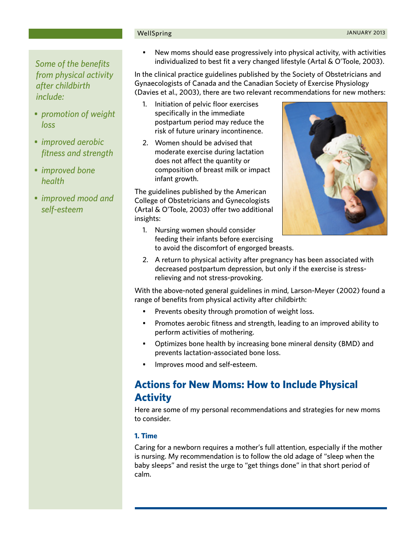#### **2** WellSpring JANUARY 2013

*Some of the benefits from physical activity after childbirth include:*

- *• promotion of weight loss*
- *• improved aerobic fitness and strength*
- *• improved bone health*
- *• improved mood and self-esteem*

New moms should ease progressively into physical activity, with activities individualized to best fit a very changed lifestyle (Artal & O'Toole, 2003).

In the clinical practice guidelines published by the Society of Obstetricians and Gynaecologists of Canada and the Canadian Society of Exercise Physiology (Davies et al., 2003), there are two relevant recommendations for new mothers:

- 1. Initiation of pelvic floor exercises specifically in the immediate postpartum period may reduce the risk of future urinary incontinence.
- 2. Women should be advised that moderate exercise during lactation does not affect the quantity or composition of breast milk or impact infant growth.

The guidelines published by the American College of Obstetricians and Gynecologists (Artal & O'Toole, 2003) offer two additional insights:



- 1. Nursing women should consider feeding their infants before exercising to avoid the discomfort of engorged breasts.
- 2. A return to physical activity after pregnancy has been associated with decreased postpartum depression, but only if the exercise is stressrelieving and not stress-provoking.

With the above-noted general guidelines in mind, Larson-Meyer (2002) found a range of benefits from physical activity after childbirth:

- Prevents obesity through promotion of weight loss.
- Promotes aerobic fitness and strength, leading to an improved ability to perform activities of mothering.
- Optimizes bone health by increasing bone mineral density (BMD) and prevents lactation-associated bone loss.
- Improves mood and self-esteem.

## **Actions for New Moms: How to Include Physical Activity**

Here are some of my personal recommendations and strategies for new moms to consider.

#### **1. Time**

Caring for a newborn requires a mother's full attention, especially if the mother is nursing. My recommendation is to follow the old adage of "sleep when the baby sleeps" and resist the urge to "get things done" in that short period of calm.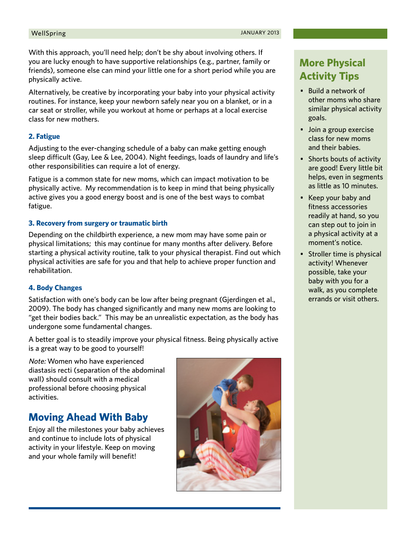With this approach, you'll need help; don't be shy about involving others. If you are lucky enough to have supportive relationships (e.g., partner, family or friends), someone else can mind your little one for a short period while you are physically active.

Alternatively, be creative by incorporating your baby into your physical activity routines. For instance, keep your newborn safely near you on a blanket, or in a car seat or stroller, while you workout at home or perhaps at a local exercise class for new mothers.

#### **2. Fatigue**

Adjusting to the ever-changing schedule of a baby can make getting enough sleep difficult (Gay, Lee & Lee, 2004). Night feedings, loads of laundry and life's other responsibilities can require a lot of energy.

Fatigue is a common state for new moms, which can impact motivation to be physically active. My recommendation is to keep in mind that being physically active gives you a good energy boost and is one of the best ways to combat fatigue.

#### **3. Recovery from surgery or traumatic birth**

Depending on the childbirth experience, a new mom may have some pain or physical limitations; this may continue for many months after delivery. Before starting a physical activity routine, talk to your physical therapist. Find out which physical activities are safe for you and that help to achieve proper function and rehabilitation.

#### **4. Body Changes**

Satisfaction with one's body can be low after being pregnant (Gjerdingen et al., 2009). The body has changed significantly and many new moms are looking to "get their bodies back." This may be an unrealistic expectation, as the body has undergone some fundamental changes.

A better goal is to steadily improve your physical fitness. Being physically active is a great way to be good to yourself!

Note: Women who have experienced diastasis recti (separation of the abdominal wall) should consult with a medical professional before choosing physical activities.

### **Moving Ahead With Baby**

Enjoy all the milestones your baby achieves and continue to include lots of physical activity in your lifestyle. Keep on moving and your whole family will benefit!



## **More Physical Activity Tips**

- • Build a network of other moms who share similar physical activity goals.
- Join a group exercise class for new moms and their babies.
- Shorts bouts of activity are good! Every little bit helps, even in segments as little as 10 minutes.
- • Keep your baby and fitness accessories readily at hand, so you can step out to join in a physical activity at a moment's notice.
- Stroller time is physical activity! Whenever possible, take your baby with you for a walk, as you complete errands or visit others.